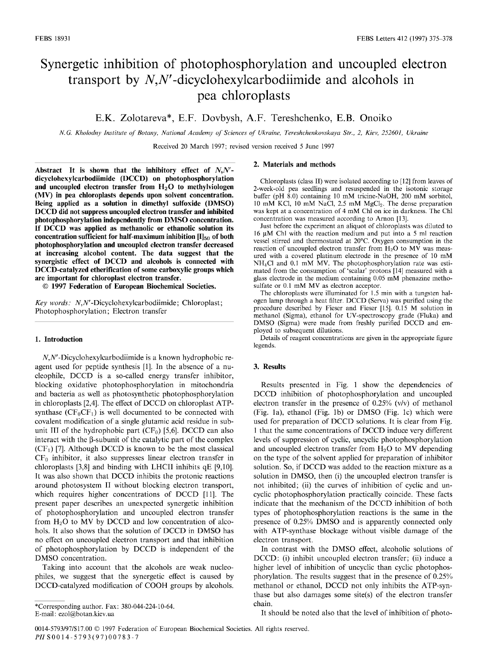# Synergetic inhibition of photophosphorylation and uncoupled electron transport by  $N$ , $N'$ -dicyclohexylcarbodiimide and alcohols in pea chloroplasts

E.K. Zolotareva\*, E.F. Dovbysh, A.F. Tereshchenko, E.B. Onoiko

*N.G. Kholodny Institute of Botany, National Academy of Sciences of Ukraine, Tereshchenkovskaya Str., 2, Kiev, 252601, Ukraine* 

Received 20 March 1997; revised version received 5 June 1997

**Abstract It is shown that the inhibitory effect of** *N,N*  **dicyclohexylcarbodiiraide (DCCD) on photophosphorylation and uncoupled electron transfer from H<sup>2</sup> 0 to methylviologen (MV) in pea chloroplasts depends upon solvent concentration. Being applied as a solution in dimethyl sulfoxide (DMSO) DCCD did not suppress uncoupled electron transfer and inhibited photophosphorylation independently from DMSO concentration. If DCCD was applied as methanolic or ethanolic solution its**  concentration sufficient for half-maximum inhibition [I]<sub>50</sub> of both **photophosphorylation and uncoupled electron transfer decreased at increasing alcohol content. The data suggest that the synergistic effect of DCCD and alcohols is connected with DCCD-catalyzed etherification of some carboxylic groups which are important for chloroplast electron transfer.** 

 **1997 Federation of European Biochemical Societies.** 

*Key words:* A^W-Dicyclohexylcarbodiimide; Chloroplast; Photophosphorylation; Electron transfer

#### **1. Introduction**

 $N, N'$ -Dicyclohexylcarbodiimide is a known hydrophobic reagent used for peptide synthesis [1]. In the absence of a nucleophile, DCCD is a so-called energy transfer inhibitor, blocking oxidative photophosphorylation in mitochondria and bacteria as well as photosynthetic photophosphorylation in chloroplasts [2,4]. The effect of DCCD on chloroplast ATPsynthase  $(CF_0CF_1)$  is well documented to be connected with covalent modification of a single glutamic acid residue in subunit III of the hydrophobic part  $(CF_0)$  [5,6]. DCCD can also interact with the  $\beta$ -subunit of the catalytic part of the complex  $(CF<sub>1</sub>)$  [7]. Although DCCD is known to be the most classical  $CF<sub>0</sub>$  inhibitor, it also suppresses linear electron transfer in chloroplasts [3,8] and binding with LHCII inhibits qE [9,10]. It was also shown that DCCD inhibits the protonic reactions around photosystem II without blocking electron transport, which requires higher concentrations of DCCD [11]. The present paper describes an unexpected synergetic inhibition of photophosphorylation and uncoupled electron transfer from  $H_2O$  to MV by DCCD and low concentration of alcohols. It also shows that the solution of DCCD in DMSO has no effect on uncoupled electron transport and that inhibition of photophosphorylation by DCCD is independent of the DMSO concentration.

Taking into account that the alcohols are weak nucleophiles, we suggest that the synergetic effect is caused by DCCD-catalyzed modification of COOH groups by alcohols.

Corresponding author. Fax: 380-044-224-10-64. E-mail: [ezol@botan.kiev.ua](mailto:ezol@botan.kiev.ua) 

#### **2. Materials and methods**

Chloroplasts (class II) were isolated according to [12] from leaves of 2-week-old pea seedlings and resuspended in the isotonic storage buffer (pH 8.0) containing 10 mM tricine-NaOH, 200 mM sorbitol, 10 mM KCl, 10 mM NaCl, 2.5 mM MgCl<sub>2</sub>. The dense preparation was kept at a concentration of 4 mM Chi on ice in darkness. The Chi concentration was measured according to Arnon [13].

Just before the experiment an aliquot of chloroplasts was diluted to 16 u.M Chi with the reaction medium and put into a 5 ml reaction vessel stirred and thermostated at 20°C. Oxygen consumption in the reaction of uncoupled electron transfer from  $H_2O$  to MV was measured with a covered platinum electrode in the presence of 10 mM NH4CI and 0.1 mM MV. The photophosphorylation rate was estimated from the consumption of 'scalar' protons [14] measured with a glass electrode in the medium containing 0.05 mM phenazine methosulfate or  $0.1$  mM MV as electron acceptor.

The chloroplasts were illuminated for 1.5 min with a tungsten halogen lamp through a heat filter. DCCD (Serva) was purified using the procedure described by Fieser and Fieser [15]. 0.15 M solution in methanol (Sigma), ethanol for UV-spectroscopy grade (Fluka) and DMSO (Sigma) were made from freshly purified DCCD and employed to subsequent dilutions.

Details of reagent concentrations are given in the appropriate figure legends.

# **3. Results**

Results presented in Fig. 1 show the dependencies of DCCD inhibition of photophosphorylation and uncoupled electron transfer in the presence of 0.25% (v/v) of methanol (Fig. la), ethanol (Fig. lb) or DMSO (Fig. lc) which were used for preparation of DCCD solutions. It is clear from Fig. 1 that the same concentrations of DCCD induce very different levels of suppression of cyclic, uncyclic photophosphorylation and uncoupled electron transfer from  $H_2O$  to MV depending on the type of the solvent applied for preparation of inhibitor solution. So, if DCCD was added to the reaction mixture as a solution in DMSO, then (i) the uncoupled electron transfer is not inhibited; (ii) the curves of inhibition of cyclic and uncyclic photophosphorylation practically coincide. These facts indicate that the mechanism of the DCCD inhibition of both types of photophosphorylation reactions is the same in the presence of 0.25% DMSO and is apparently connected only with ATP-synthase blockage without visible damage of the electron transport.

In contrast with the DMSO effect, alcoholic solutions of DCCD: (i) inhibit uncoupled electron transfer; (ii) induce a higher level of inhibition of uncyclic than cyclic photophosphorylation. The results suggest that in the presence of 0.25% methanol or ethanol, DCCD not only inhibits the ATP-synthase but also damages some site(s) of the electron transfer chain.

It should be noted also that the level of inhibition of photo-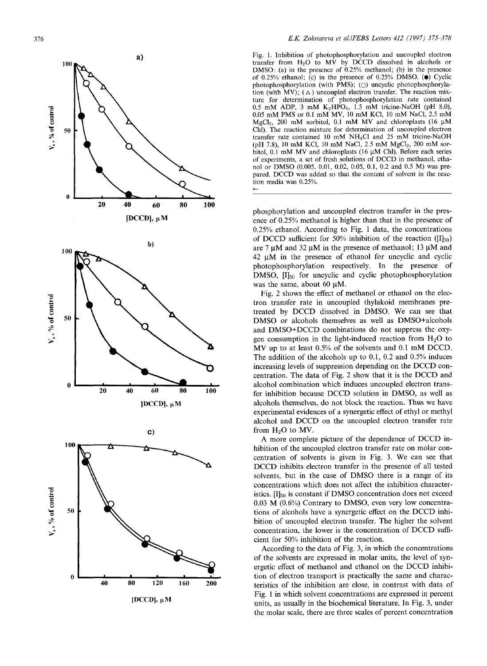

Fig. 1. Inhibition of photophosphorylation and uncoupled electron transfer from  $H_2O$  to  $M\hat{V}$  by DCCD dissolved in alcohols or DMSO: (a) in the presence of 0.25% methanol; (b) in the presence of 0.25% ethanol; (c) in the presence of 0.25% DMSO.  $\ddot{\bullet}$  Cyclic photophosphorylation (with PMS); ( $\bigcirc$ ) uncyclic photophosphorylation (with MV);  $(\triangle)$  uncoupled electron transfer. The reaction mixture for determination of photophosphorylation rate contained 0.5 mM ADP, 3 mM  $K_2HPO_4$ , 1.5 mM tricine-NaOH (pH 8.0), 0.05 mM PMS or 0.1 mM MV, 10 mM KC1, 10 mM NaCl, 2.5 mM MgCl<sub>2</sub>, 200 mM sorbitol, 0.1 mM MV and chloroplasts (16  $\mu$ M Chi). The reaction mixture for determination of uncoupled electron transfer rate contained 10 mM NH4C1 and 25 mM tricine-NaOH (pH 7.8), 10 mM KCl, 10 mM NaCl, 2.5 mM MgCl<sub>2</sub>, 200 mM sorbitol, 0.1 mM MV and chloroplasts (16 uM Chi). Before each series of experiments, a set of fresh solutions of DCCD in methanol, ethanol or DMSO (0.005, 0.01, 0.02, 0.05, 0.1, 0.2 and 0.5 M) was prepared. DCCD was added so that the content of solvent in the reaction media was 0.25%.

phosphorylation and uncoupled electron transfer in the presence of 0.25% methanol is higher than that in the presence of 0.25% ethanol. According to Fig. 1 data, the concentrations of DCCD sufficient for 50% inhibition of the reaction ( $[I]_{50}$ ) are 7  $\mu$ M and 32  $\mu$ M in the presence of methanol; 13  $\mu$ M and  $42 \mu M$  in the presence of ethanol for uncyclic and cyclic photophosphorylation respectively. In the presence of DMSO,  $\text{II}_{50}$  for uncyclic and cyclic photophosphorylation was the same, about 60  $\mu$ M.

Fig. 2 shows the effect of methanol or ethanol on the electron transfer rate in uncoupled thylakoid membranes pretreated by DCCD dissolved in DMSO. We can see that DMSO or alcohols themselves as well as DMSO+alcohols and DMSO+DCCD combinations do not suppress the oxygen consumption in the light-induced reaction from  $H_2O$  to MV up to at least 0.5% of the solvents and 0.1 mM DCCD. The addition of the alcohols up to 0.1, 0.2 and 0.5% induces increasing levels of suppression depending on the DCCD concentration. The data of Fig. 2 show that it is the DCCD and alcohol combination which induces uncoupled electron transfer inhibition because DCCD solution in DMSO, as well as alcohols themselves, do not block the reaction. Thus we have experimental evidences of a synergetic effect of ethyl or methyl alcohol and DCCD on the uncoupled electron transfer rate from  $H_2O$  to MV.

A more complete picture of the dependence of DCCD inhibition of the uncoupled electron transfer rate on molar concentration of solvents is given in Fig. 3. We can see that DCCD inhibits electron transfer in the presence of all tested solvents, but in the case of DMSO there is a range of its concentrations which does not affect the inhibition characteristics.  $[I]_{50}$  is constant if DMSO concentration does not exceed 0.03 M (0.6%) Contrary to DMSO, even very low concentrations of alcohols have a synergetic effect on the DCCD inhibition of uncoupled electron transfer. The higher the solvent concentration, the lower is the concentration of DCCD sufficient for 50% inhibition of the reaction.

According to the data of Fig. 3, in which the concentrations of the solvents are expressed in molar units, the level of synergetic effect of methanol and ethanol on the DCCD inhibition of electron transport is practically the same and characteristics of the inhibition are close, in contrast with data of Fig. 1 in which solvent concentrations are expressed in percent units, as usually in the biochemical literature. In Fig. 3, under the molar scale, there are three scales of percent concentration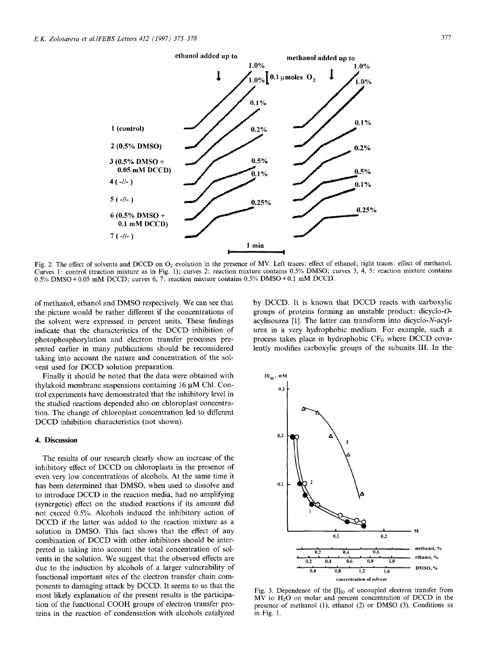

Fig. 2. The effect of solvents and DCCD on 02 evolution in the presence of MV. Left traces: effect of ethanol; right traces: effect of methanol. Curves 1: control (reaction mixture as in Fig. 1); curves 2: reaction mixture contains 0.5% DMSO; curves 3, 4, 5: reaction mixture contains 0.5% DMSO + 0.05 mM DCCD; curves 6, 7: reaction mixture contains 0.5% DMSO + 0.1 mM DCCD.

of methanol, ethanol and DMSO respectively. We can see that the picture would be rather different if the concentrations of the solvent were expressed in percent units. These findings indicate that the characteristics of the DCCD inhibition of photophosphorylation and electron transfer processes presented earlier in many publications should be reconsidered taking into account the nature and concentration of the solvent used for DCCD solution preparation.

Finally it should be noted that the data were obtained with thylakoid membrane suspensions containing 16 uM Chi. Control experiments have demonstrated that the inhibitory level in the studied reactions depended also on chloroplast concentration. The change of chloroplast concentration led to different DCCD inhibition characteristics (not shown).

### 4. Discussion

The results of our research clearly show an increase of the inhibitory effect of DCCD on chloroplasts in the presence of even very low concentrations of alcohols. At the same time it has been determined that DMSO, when used to dissolve and to introduce DCCD in the reaction media, had no amplifying (synergetic) effect on the studied reactions if its amount did not exceed 0.5%. Alcohols induced the inhibitory action of DCCD if the latter was added to the reaction mixture as a solution in DMSO. This fact shows that the effect of any combination of DCCD with other inhibitors should be interpreted in taking into account the total concentration of solvents in the solution. We suggest that the observed effects are due to the induction by alcohols of a larger vulnerability of functional important sites of the electron transfer chain components to damaging attack by DCCD. It seems to us that the most likely explanation of the present results is the participation of the functional COOH groups of electron transfer proteins in the reaction of condensation with alcohols catalyzed

by DCCD. It is known that DCCD reacts with carboxylic groups of proteins forming an unstable product: dicyclo-Oacylisourea [1]. The latter can transform into dicyclo-N-acylurea in a very hydrophobic medium. For example, such a process takes place in hydrophobic  $CF_0$  where DCCD covalently modifies carboxylic groups of the subunits III. In the



Fig. 3. Dependence of the  $[I]_{50}$  of uncoupled electron transfer from MV to H<sub>2</sub>O on molar and percent concentration of DCCD in the presence of methanol (1), ethanol (2) or DMSO (3). Conditions as in Fig. 1.